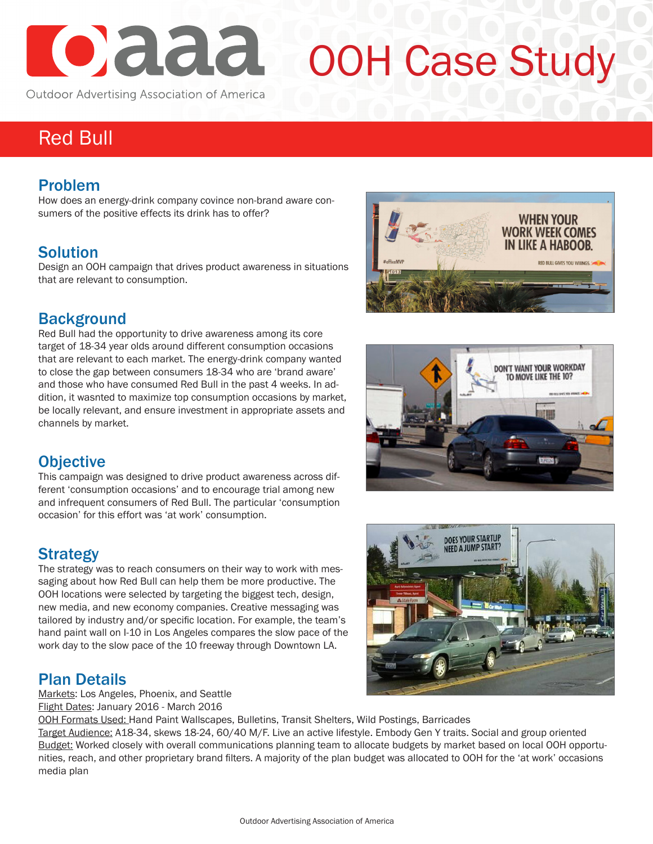

# OOH Case Study

Outdoor Advertising Association of America

# Red Bull

#### Problem

How does an energy-drink company covince non-brand aware consumers of the positive effects its drink has to offer?

#### Solution

Design an OOH campaign that drives product awareness in situations that are relevant to consumption.

#### **Background**

Red Bull had the opportunity to drive awareness among its core target of 18-34 year olds around different consumption occasions that are relevant to each market. The energy-drink company wanted to close the gap between consumers 18-34 who are 'brand aware' and those who have consumed Red Bull in the past 4 weeks. In addition, it wasnted to maximize top consumption occasions by market, be locally relevant, and ensure investment in appropriate assets and channels by market.







This campaign was designed to drive product awareness across different 'consumption occasions' and to encourage trial among new and infrequent consumers of Red Bull. The particular 'consumption occasion' for this effort was 'at work' consumption.

## Strategy

The strategy was to reach consumers on their way to work with messaging about how Red Bull can help them be more productive. The OOH locations were selected by targeting the biggest tech, design, new media, and new economy companies. Creative messaging was tailored by industry and/or specific location. For example, the team's hand paint wall on I-10 in Los Angeles compares the slow pace of the work day to the slow pace of the 10 freeway through Downtown LA.

#### Plan Details

Markets: Los Angeles, Phoenix, and Seattle Flight Dates: January 2016 - March 2016

OOH Formats Used: Hand Paint Wallscapes, Bulletins, Transit Shelters, Wild Postings, Barricades

Target Audience: A18-34, skews 18-24, 60/40 M/F. Live an active lifestyle. Embody Gen Y traits. Social and group oriented Budget: Worked closely with overall communications planning team to allocate budgets by market based on local OOH opportunities, reach, and other proprietary brand filters. A majority of the plan budget was allocated to OOH for the 'at work' occasions media plan